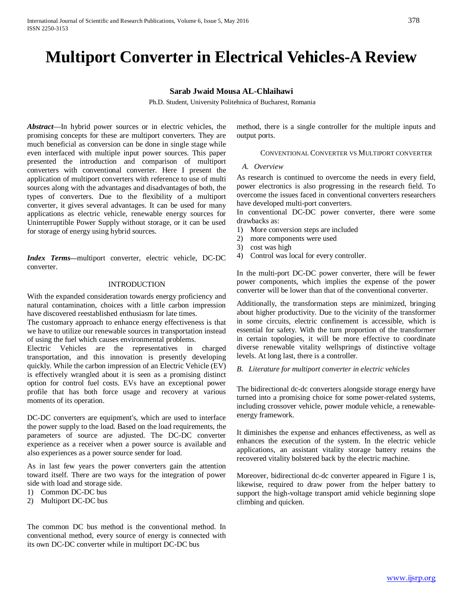# **Multiport Converter in Electrical Vehicles-A Review**

# **Sarab Jwaid Mousa AL-Chlaihawi**

Ph.D. Student, University Politehnica of Bucharest, Romania

*Abstract*—In hybrid power sources or in electric vehicles, the promising concepts for these are multiport converters. They are much beneficial as conversion can be done in single stage while even interfaced with multiple input power sources. This paper presented the introduction and comparison of multiport converters with conventional converter. Here I present the application of multiport converters with reference to use of multi sources along with the advantages and disadvantages of both, the types of converters. Due to the flexibility of a multiport converter, it gives several advantages. It can be used for many applications as electric vehicle, renewable energy sources for Uninterruptible Power Supply without storage, or it can be used for storage of energy using hybrid sources.

*Index Terms***—**multiport converter, electric vehicle, DC-DC converter.

# INTRODUCTION

With the expanded consideration towards energy proficiency and natural contamination, choices with a little carbon impression have discovered reestablished enthusiasm for late times.

The customary approach to enhance energy effectiveness is that we have to utilize our renewable sources in transportation instead of using the fuel which causes environmental problems.

Electric Vehicles are the representatives in charged transportation, and this innovation is presently developing quickly. While the carbon impression of an Electric Vehicle (EV) is effectively wrangled about it is seen as a promising distinct option for control fuel costs. EVs have an exceptional power profile that has both force usage and recovery at various moments of its operation.

DC-DC converters are equipment's, which are used to interface the power supply to the load. Based on the load requirements, the parameters of source are adjusted. The DC-DC converter experience as a receiver when a power source is available and also experiences as a power source sender for load.

As in last few years the power converters gain the attention toward itself. There are two ways for the integration of power side with load and storage side.

- 1) Common DC-DC bus
- 2) Multiport DC-DC bus

The common DC bus method is the conventional method. In conventional method, every source of energy is connected with its own DC-DC converter while in multiport DC-DC bus

method, there is a single controller for the multiple inputs and output ports.

### CONVENTIONAL CONVERTER VS MULTIPORT CONVERTER

# *A. Overview*

As research is continued to overcome the needs in every field, power electronics is also progressing in the research field. To overcome the issues faced in conventional converters researchers have developed multi-port converters.

In conventional DC-DC power converter, there were some drawbacks as:

- 1) More conversion steps are included
- 2) more components were used
- 3) cost was high
- 4) Control was local for every controller.

In the multi-port DC-DC power converter, there will be fewer power components, which implies the expense of the power converter will be lower than that of the conventional converter.

Additionally, the transformation steps are minimized, bringing about higher productivity. Due to the vicinity of the transformer in some circuits, electric confinement is accessible, which is essential for safety. With the turn proportion of the transformer in certain topologies, it will be more effective to coordinate diverse renewable vitality wellsprings of distinctive voltage levels. At long last, there is a controller.

# *B. Literature for multiport converter in electric vehicles*

The bidirectional dc-dc converters alongside storage energy have turned into a promising choice for some power-related systems, including crossover vehicle, power module vehicle, a renewableenergy framework.

It diminishes the expense and enhances effectiveness, as well as enhances the execution of the system. In the electric vehicle applications, an assistant vitality storage battery retains the recovered vitality bolstered back by the electric machine.

Moreover, bidirectional dc-dc converter appeared in Figure 1 is, likewise, required to draw power from the helper battery to support the high-voltage transport amid vehicle beginning slope climbing and quicken.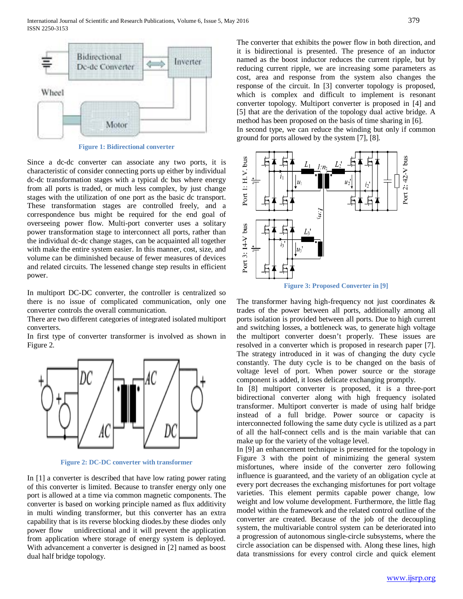

**Figure 1: Bidirectional converter**

Since a dc-dc converter can associate any two ports, it is characteristic of consider connecting ports up either by individual dc-dc transformation stages with a typical dc bus where energy from all ports is traded, or much less complex, by just change stages with the utilization of one port as the basic dc transport. These transformation stages are controlled freely, and a correspondence bus might be required for the end goal of overseeing power flow. Multi-port converter uses a solitary power transformation stage to interconnect all ports, rather than the individual dc-dc change stages, can be acquainted all together with make the entire system easier. In this manner, cost, size, and volume can be diminished because of fewer measures of devices and related circuits. The lessened change step results in efficient power.

In multiport DC-DC converter, the controller is centralized so there is no issue of complicated communication, only one converter controls the overall communication.

There are two different categories of integrated isolated multiport converters.

In first type of converter transformer is involved as shown in Figure 2.



**Figure 2: DC-DC converter with transformer**

In [1] a converter is described that have low rating power rating of this converter is limited. Because to transfer energy only one port is allowed at a time via common magnetic components. The converter is based on working principle named as flux additivity in multi winding transformer, but this converter has an extra capability that is its reverse blocking diodes.by these diodes only power flow unidirectional and it will prevent the application from application where storage of energy system is deployed. With advancement a converter is designed in [2] named as boost dual half bridge topology.

The converter that exhibits the power flow in both direction, and it is bidirectional is presented. The presence of an inductor named as the boost inductor reduces the current ripple, but by reducing current ripple, we are increasing some parameters as cost, area and response from the system also changes the response of the circuit. In [3] converter topology is proposed, which is complex and difficult to implement is resonant converter topology. Multiport converter is proposed in [4] and [5] that are the derivation of the topology dual active bridge. A method has been proposed on the basis of time sharing in [6]. In second type, we can reduce the winding but only if common ground for ports allowed by the system [7], [8].



The transformer having high-frequency not just coordinates  $\&$ trades of the power between all ports, additionally among all ports isolation is provided between all ports. Due to high current and switching losses, a bottleneck was, to generate high voltage the multiport converter doesn't properly. These issues are resolved in a converter which is proposed in research paper [7]. The strategy introduced in it was of changing the duty cycle constantly. The duty cycle is to be changed on the basis of voltage level of port. When power source or the storage component is added, it loses delicate exchanging promptly.

In [8] multiport converter is proposed, it is a three-port bidirectional converter along with high frequency isolated transformer. Multiport converter is made of using half bridge instead of a full bridge. Power source or capacity is interconnected following the same duty cycle is utilized as a part of all the half-connect cells and is the main variable that can make up for the variety of the voltage level.

In [9] an enhancement technique is presented for the topology in Figure 3 with the point of minimizing the general system misfortunes, where inside of the converter zero following influence is guaranteed, and the variety of an obligation cycle at every port decreases the exchanging misfortunes for port voltage varieties. This element permits capable power change, low weight and low volume development. Furthermore, the little flag model within the framework and the related control outline of the converter are created. Because of the job of the decoupling system, the multivariable control system can be deteriorated into a progression of autonomous single-circle subsystems, where the circle association can be dispensed with. Along these lines, high data transmissions for every control circle and quick element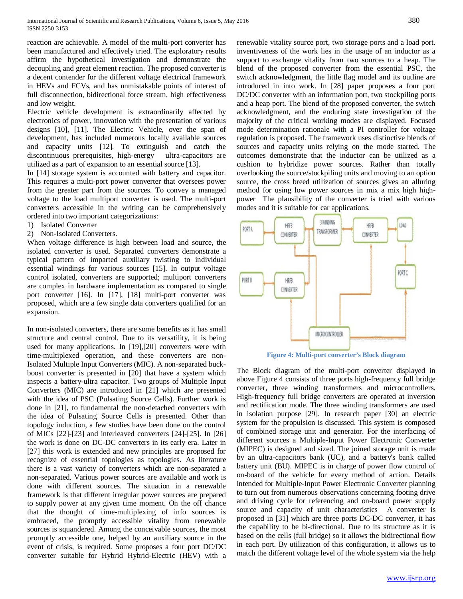reaction are achievable. A model of the multi-port converter has been manufactured and effectively tried. The exploratory results affirm the hypothetical investigation and demonstrate the decoupling and great element reaction. The proposed converter is a decent contender for the different voltage electrical framework in HEVs and FCVs, and has unmistakable points of interest of full disconnection, bidirectional force stream, high effectiveness and low weight.

Electric vehicle development is extraordinarily affected by electronics of power, innovation with the presentation of various designs [10], [11]. The Electric Vehicle, over the span of development, has included numerous locally available sources and capacity units [12]. To extinguish and catch the discontinuous prerequisites, high-energy ultra-capacitors are utilized as a part of expansion to an essential source [13].

In [14] storage system is accounted with battery and capacitor. This requires a multi-port power converter that oversees power from the greater part from the sources. To convey a managed voltage to the load multiport converter is used. The multi-port converters accessible in the writing can be comprehensively ordered into two important categorizations:

- 1) Isolated Converter
- 2) Non-Isolated Converters.

When voltage difference is high between load and source, the isolated converter is used. Separated converters demonstrate a typical pattern of imparted auxiliary twisting to individual essential windings for various sources [15]. In output voltage control isolated, converters are supported; multiport converters are complex in hardware implementation as compared to single port converter [16]. In [17], [18] multi-port converter was proposed, which are a few single data converters qualified for an expansion.

In non-isolated converters, there are some benefits as it has small structure and central control. Due to its versatility, it is being used for many applications. In [19],[20] converters were with time-multiplexed operation, and these converters are non-Isolated Multiple Input Converters (MIC). A non-separated buckboost converter is presented in [20] that have a system which inspects a battery-ultra capacitor. Two groups of Multiple Input Converters (MIC) are introduced in [21] which are presented with the idea of PSC (Pulsating Source Cells). Further work is done in [21], to fundamental the non-detached converters with the idea of Pulsating Source Cells is presented. Other than topology induction, a few studies have been done on the control of MICs [22]-[23] and interleaved converters [24]-[25]. In [26] the work is done on DC-DC converters in its early era. Later in [27] this work is extended and new principles are proposed for recognize of essential topologies as topologies. As literature there is a vast variety of converters which are non-separated a non-separated. Various power sources are available and work is done with different sources. The situation in a renewable framework is that different irregular power sources are prepared to supply power at any given time moment. On the off chance that the thought of time-multiplexing of info sources is embraced, the promptly accessible vitality from renewable sources is squandered. Among the conceivable sources, the most promptly accessible one, helped by an auxiliary source in the event of crisis, is required. Some proposes a four port DC/DC converter suitable for Hybrid Hybrid-Electric (HEV) with a renewable vitality source port, two storage ports and a load port. inventiveness of the work lies in the usage of an inductor as a support to exchange vitality from two sources to a heap. The blend of the proposed converter from the essential PSC, the switch acknowledgment, the little flag model and its outline are introduced in into work. In [28] paper proposes a four port DC/DC converter with an information port, two stockpiling ports and a heap port. The blend of the proposed converter, the switch acknowledgment, and the enduring state investigation of the majority of the critical working modes are displayed. Focused mode determination rationale with a PI controller for voltage regulation is proposed. The framework uses distinctive blends of sources and capacity units relying on the mode started. The outcomes demonstrate that the inductor can be utilized as a cushion to hybridize power sources. Rather than totally overlooking the source/stockpiling units and moving to an option source, the cross breed utilization of sources gives an alluring method for using low power sources in mix a mix high highpower The plausibility of the converter is tried with various modes and it is suitable for car applications.



**Figure 4: Multi-port converter's Block diagram**

The Block diagram of the multi-port converter displayed in above Figure 4 consists of three ports high-frequency full bridge converter, three winding transformers and microcontrollers. High-frequency full bridge converters are operated at inversion and rectification mode. The three winding transformers are used in isolation purpose [29]. In research paper [30] an electric system for the propulsion is discussed. This system is composed of combined storage unit and generator. For the interfacing of different sources a Multiple-Input Power Electronic Converter (MIPEC) is designed and sized. The joined storage unit is made by an ultra-capacitors bank (UC), and a battery's bank called battery unit (BU). MIPEC is in charge of power flow control of on-board of the vehicle for every method of action. Details intended for Multiple-Input Power Electronic Converter planning to turn out from numerous observations concerning footing drive and driving cycle for referencing and on-board power supply source and capacity of unit characteristics A converter is proposed in [31] which are three ports DC-DC converter, it has the capability to be bi-directional. Due to its structure as it is based on the cells (full bridge) so it allows the bidirectional flow in each port. By utilization of this configuration, it allows us to match the different voltage level of the whole system via the help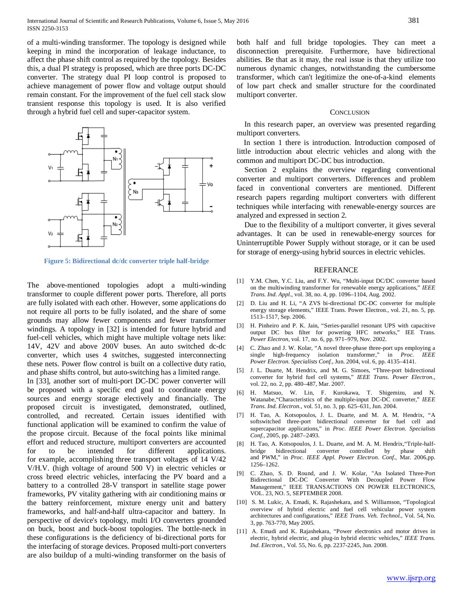of a multi-winding transformer. The topology is designed while keeping in mind the incorporation of leakage inductance, to affect the phase shift control as required by the topology. Besides this, a dual PI strategy is proposed, which are three ports DC-DC converter. The strategy dual PI loop control is proposed to achieve management of power flow and voltage output should remain constant. For the improvement of the fuel cell stack slow transient response this topology is used. It is also verified through a hybrid fuel cell and super-capacitor system.



**Figure 5: Bidirectional dc/dc converter triple half-bridge**

The above-mentioned topologies adopt a multi-winding transformer to couple different power ports. Therefore, all ports are fully isolated with each other. However, some applications do not require all ports to be fully isolated, and the share of some grounds may allow fewer components and fewer transformer windings. A topology in [32] is intended for future hybrid and fuel-cell vehicles, which might have multiple voltage nets like: 14V, 42V and above 200V buses. An auto switched dc-dc converter, which uses 4 switches, suggested interconnecting these nets. Power flow control is built on a collective duty ratio, and phase shifts control, but auto-switching has a limited range. In [33], another sort of multi-port DC-DC power converter will be proposed with a specific end goal to coordinate energy sources and energy storage electively and financially. The proposed circuit is investigated, demonstrated, outlined, controlled, and recreated. Certain issues identified with functional application will be examined to confirm the value of the propose circuit. Because of the focal points like minimal effort and reduced structure, multiport converters are accounted for to be intended for different applications. for example, accomplishing three transport voltages of 14 V/42 V/H.V. (high voltage of around 500 V) in electric vehicles or cross breed electric vehicles, interfacing the PV board and a battery to a controlled 28-V transport in satellite stage power frameworks, PV vitality gathering with air conditioning mains or the battery reinforcement, mixture energy unit and battery frameworks, and half-and-half ultra-capacitor and battery. In perspective of device's topology, multi I/O converters grounded on buck, boost and buck-boost topologies. The bottle-neck in these configurations is the deficiency of bi-directional ports for the interfacing of storage devices. Proposed multi-port converters are also buildup of a multi-winding transformer on the basis of both half and full bridge topologies. They can meet a disconnection prerequisite. Furthermore, have bidirectional abilities. Be that as it may, the real issue is that they utilize too numerous dynamic changes, notwithstanding the cumbersome transformer, which can't legitimize the one-of-a-kind elements of low part check and smaller structure for the coordinated multiport converter.

#### **CONCLUSION**

In this research paper, an overview was presented regarding multiport converters.

In section 1 there is introduction. Introduction composed of little introduction about electric vehicles and along with the common and multiport DC-DC bus introduction.

Section 2 explains the overview regarding conventional converter and multiport converters. Differences and problem faced in conventional converters are mentioned. Different research papers regarding multiport converters with different techniques while interfacing with renewable-energy sources are analyzed and expressed in section 2.

Due to the flexibility of a multiport converter, it gives several advantages. It can be used in renewable-energy sources for Uninterruptible Power Supply without storage, or it can be used for storage of energy-using hybrid sources in electric vehicles.

# REFERANCE

- [1] Y.M. Chen, Y.C. Liu, and F.Y. Wu, "Multi-input DC/DC converter based on the multiwinding transformer for renewable energy applications," *IEEE Trans. Ind. Appl.*, vol. 38, no. 4, pp. 1096–1104, Aug. 2002.
- [2] D. Liu and H. Li, "A ZVS bi-directional DC-DC converter for multiple energy storage elements," IEEE Trans. Power Electron., vol. 21, no. 5, pp. 1513–1517, Sep. 2006.
- [3] H. Pinheiro and P. K. Jain, "Series-parallel resonant UPS with capacitive output DC bus filter for powering HFC networks," IEE Trans. *Power Electron*, vol. 17, no. 6, pp. 971–979, Nov. 2002.
- [4] C. Zhao and J. W. Kolar, "A novel three-phase three-port ups employing a single high-frequency isolation transformer," in *Proc. IEEE Power Electron. Specialists Conf.*, Jun. 2004, vol. 6, pp. 4135–4141.
- [5] J. L. Duarte, M. Hendrix, and M. G. Simoes, "Three-port bidirectional converter for hybrid fuel cell systems," *IEEE Trans. Power Electron.*, vol. 22, no. 2, pp. 480–487, Mar. 2007.
- [6] H. Matsuo, W. Lin, F. Kurokawa, T. Shigemizu, and N. Watanabe,"Characteristics of the multiple-input DC-DC converter," *IEEE Trans. Ind. Electron.*, vol. 51, no. 3, pp. 625–631, Jun. 2004.
- [7] H. Tao, A. Kotsopoulos, J. L. Duarte, and M. A. M. Hendrix, "A softswitched three-port bidirectional converter for fuel cell and supercapacitor applications," in *Proc. IEEE Power Electron. Specialists Conf.*, 2005, pp. 2487–2493.
- [8] H. Tao, A. Kotsopoulos, J. L. Duarte, and M. A. M. Hendrix,"Triple-halfbridge bidirectional converter controlled by phase shift and PWM," in *Proc. IEEE Appl. Power Electron. Conf.*, Mar. 2006,pp. 1256–1262.
- [9] C. Zhao, S. D. Round, and J. W. Kolar, "An Isolated Three-Port Bidirectional DC-DC Converter With Decoupled Power Flow Management," IEEE TRANSACTIONS ON POWER ELECTRONICS, VOL. 23, NO. 5, SEPTEMBER 2008.
- [10] S. M. Lukic, A. Emadi, K. Rajashekara, and S. Williamson, "Topological overview of hybrid electric and fuel cell vehicular power system architectures and configurations," *IEEE Trans. Veh. Technol.*, Vol. 54, No. 3, pp. 763-770, May 2005.
- [11] A. Emadi and K. Rajashekara, "Power electronics and motor drives in electric, hybrid electric, and plug-in hybrid electric vehicles," *IEEE Trans. Ind. Electron.*, Vol. 55, No. 6, pp. 2237-2245, Jun. 2008.